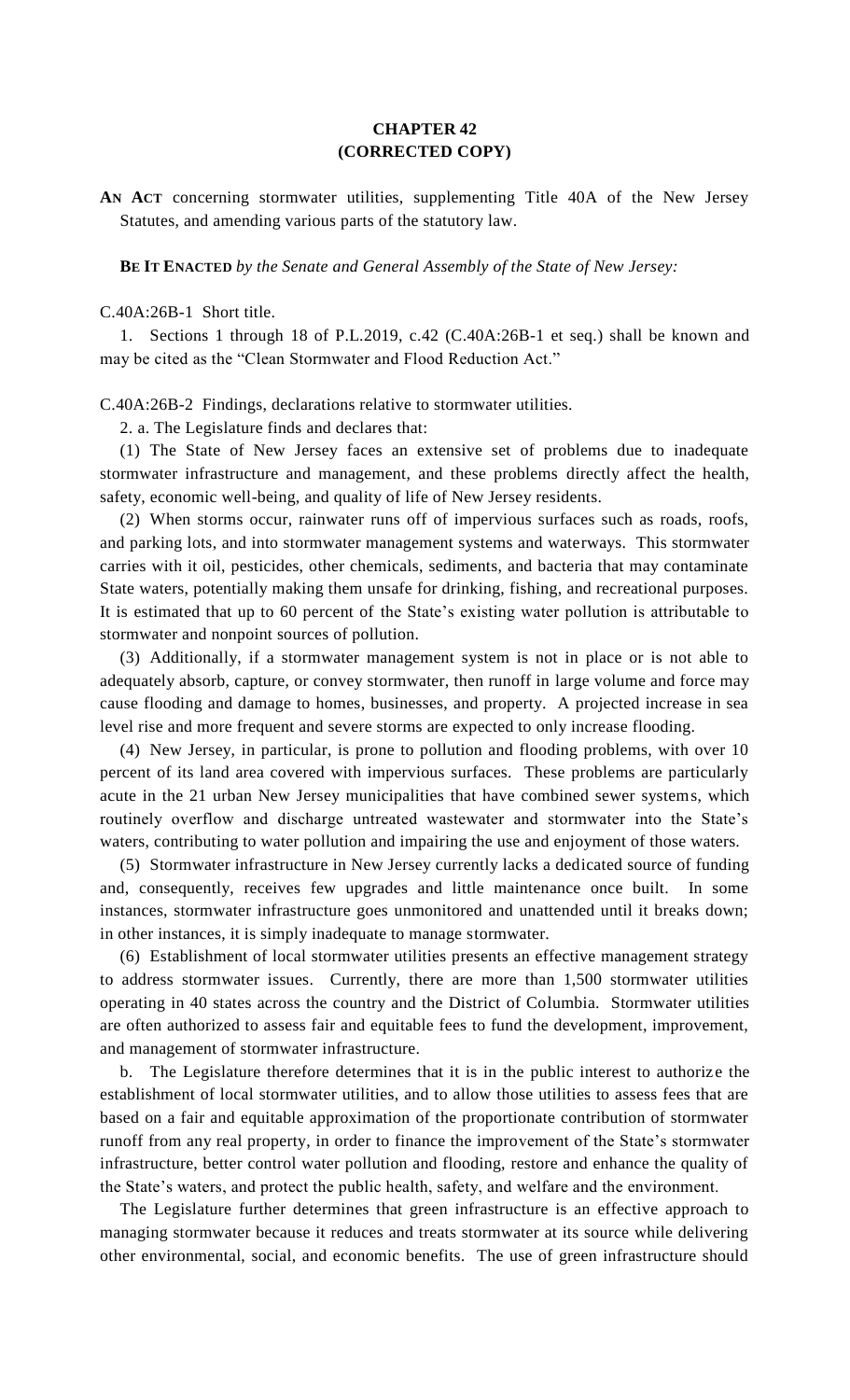## **CHAPTER 42 (CORRECTED COPY)**

**AN ACT** concerning stormwater utilities, supplementing Title 40A of the New Jersey Statutes, and amending various parts of the statutory law.

**BE IT ENACTED** *by the Senate and General Assembly of the State of New Jersey:*

C.40A:26B-1 Short title.

1. Sections 1 through 18 of P.L.2019, c.42 (C.40A:26B-1 et seq.) shall be known and may be cited as the "Clean Stormwater and Flood Reduction Act."

C.40A:26B-2 Findings, declarations relative to stormwater utilities.

2. a. The Legislature finds and declares that:

(1) The State of New Jersey faces an extensive set of problems due to inadequate stormwater infrastructure and management, and these problems directly affect the health, safety, economic well-being, and quality of life of New Jersey residents.

(2) When storms occur, rainwater runs off of impervious surfaces such as roads, roofs, and parking lots, and into stormwater management systems and waterways. This stormwater carries with it oil, pesticides, other chemicals, sediments, and bacteria that may contaminate State waters, potentially making them unsafe for drinking, fishing, and recreational purposes. It is estimated that up to 60 percent of the State's existing water pollution is attributable to stormwater and nonpoint sources of pollution.

(3) Additionally, if a stormwater management system is not in place or is not able to adequately absorb, capture, or convey stormwater, then runoff in large volume and force may cause flooding and damage to homes, businesses, and property. A projected increase in sea level rise and more frequent and severe storms are expected to only increase flooding.

(4) New Jersey, in particular, is prone to pollution and flooding problems, with over 10 percent of its land area covered with impervious surfaces. These problems are particularly acute in the 21 urban New Jersey municipalities that have combined sewer systems, which routinely overflow and discharge untreated wastewater and stormwater into the State's waters, contributing to water pollution and impairing the use and enjoyment of those waters.

(5) Stormwater infrastructure in New Jersey currently lacks a dedicated source of funding and, consequently, receives few upgrades and little maintenance once built. In some instances, stormwater infrastructure goes unmonitored and unattended until it breaks down; in other instances, it is simply inadequate to manage stormwater.

(6) Establishment of local stormwater utilities presents an effective management strategy to address stormwater issues. Currently, there are more than 1,500 stormwater utilities operating in 40 states across the country and the District of Columbia. Stormwater utilities are often authorized to assess fair and equitable fees to fund the development, improvement, and management of stormwater infrastructure.

b. The Legislature therefore determines that it is in the public interest to authorize the establishment of local stormwater utilities, and to allow those utilities to assess fees that are based on a fair and equitable approximation of the proportionate contribution of stormwater runoff from any real property, in order to finance the improvement of the State's stormwater infrastructure, better control water pollution and flooding, restore and enhance the quality of the State's waters, and protect the public health, safety, and welfare and the environment.

The Legislature further determines that green infrastructure is an effective approach to managing stormwater because it reduces and treats stormwater at its source while delivering other environmental, social, and economic benefits. The use of green infrastructure should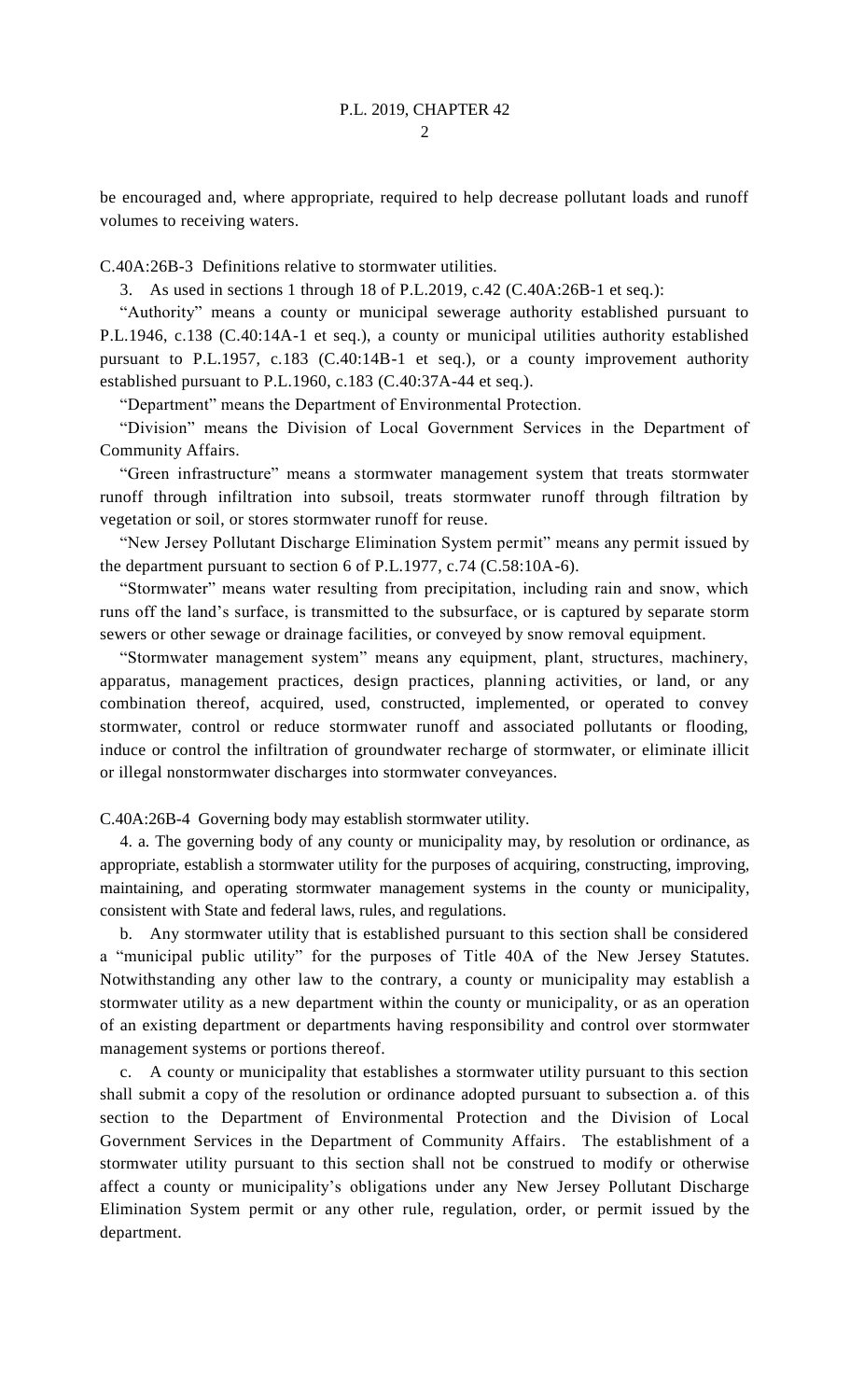be encouraged and, where appropriate, required to help decrease pollutant loads and runoff volumes to receiving waters.

C.40A:26B-3 Definitions relative to stormwater utilities.

3. As used in sections 1 through 18 of P.L.2019, c.42 (C.40A:26B-1 et seq.):

"Authority" means a county or municipal sewerage authority established pursuant to P.L.1946, c.138 (C.40:14A-1 et seq.), a county or municipal utilities authority established pursuant to P.L.1957, c.183 (C.40:14B-1 et seq.), or a county improvement authority established pursuant to P.L.1960, c.183 (C.40:37A-44 et seq.).

"Department" means the Department of Environmental Protection.

"Division" means the Division of Local Government Services in the Department of Community Affairs.

"Green infrastructure" means a stormwater management system that treats stormwater runoff through infiltration into subsoil, treats stormwater runoff through filtration by vegetation or soil, or stores stormwater runoff for reuse.

"New Jersey Pollutant Discharge Elimination System permit" means any permit issued by the department pursuant to section 6 of P.L.1977, c.74 (C.58:10A-6).

"Stormwater" means water resulting from precipitation, including rain and snow, which runs off the land's surface, is transmitted to the subsurface, or is captured by separate storm sewers or other sewage or drainage facilities, or conveyed by snow removal equipment.

"Stormwater management system" means any equipment, plant, structures, machinery, apparatus, management practices, design practices, planning activities, or land, or any combination thereof, acquired, used, constructed, implemented, or operated to convey stormwater, control or reduce stormwater runoff and associated pollutants or flooding, induce or control the infiltration of groundwater recharge of stormwater, or eliminate illicit or illegal nonstormwater discharges into stormwater conveyances.

C.40A:26B-4 Governing body may establish stormwater utility.

4. a. The governing body of any county or municipality may, by resolution or ordinance, as appropriate, establish a stormwater utility for the purposes of acquiring, constructing, improving, maintaining, and operating stormwater management systems in the county or municipality, consistent with State and federal laws, rules, and regulations.

b. Any stormwater utility that is established pursuant to this section shall be considered a "municipal public utility" for the purposes of Title 40A of the New Jersey Statutes. Notwithstanding any other law to the contrary, a county or municipality may establish a stormwater utility as a new department within the county or municipality, or as an operation of an existing department or departments having responsibility and control over stormwater management systems or portions thereof.

c. A county or municipality that establishes a stormwater utility pursuant to this section shall submit a copy of the resolution or ordinance adopted pursuant to subsection a. of this section to the Department of Environmental Protection and the Division of Local Government Services in the Department of Community Affairs. The establishment of a stormwater utility pursuant to this section shall not be construed to modify or otherwise affect a county or municipality's obligations under any New Jersey Pollutant Discharge Elimination System permit or any other rule, regulation, order, or permit issued by the department.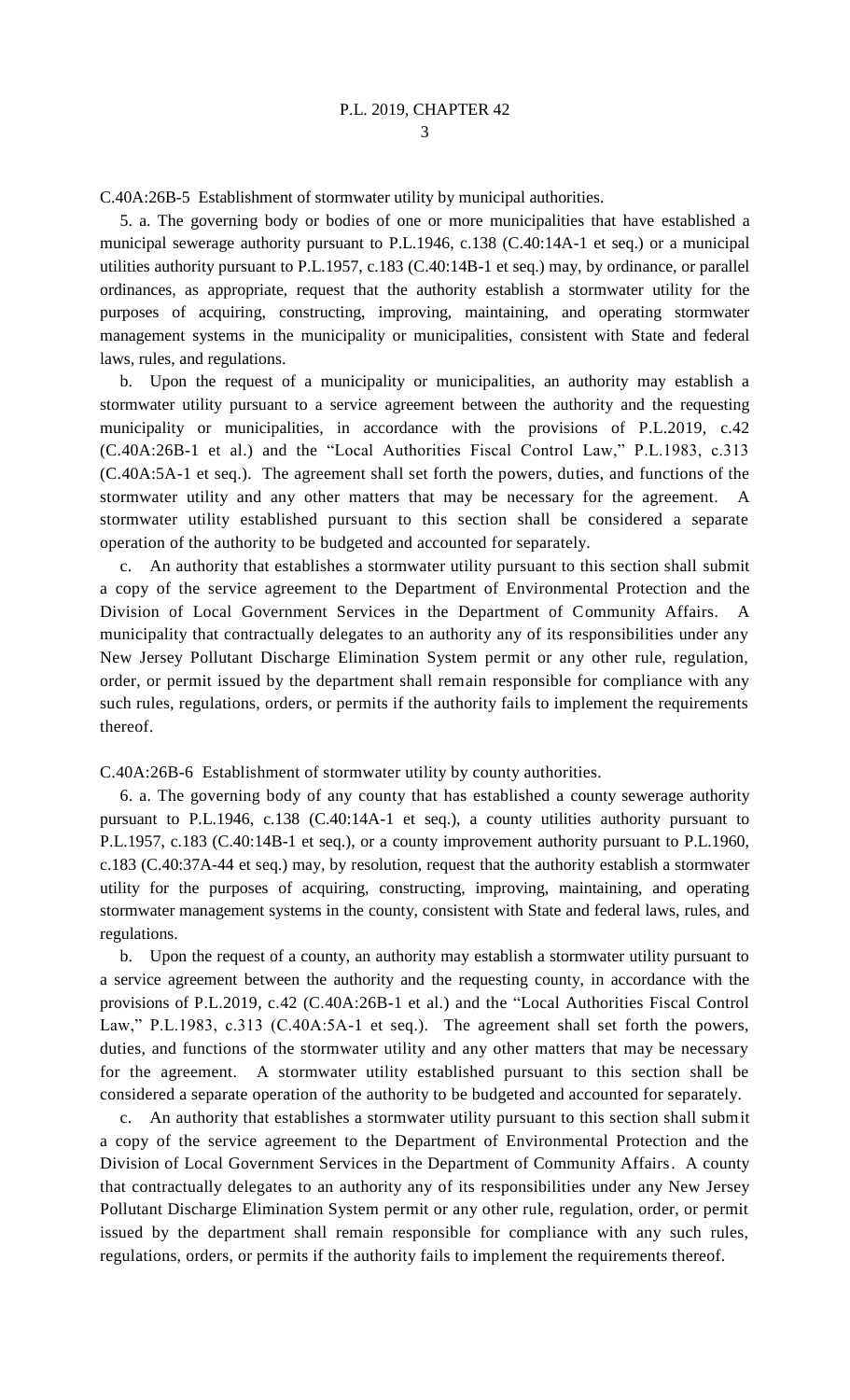C.40A:26B-5 Establishment of stormwater utility by municipal authorities.

5. a. The governing body or bodies of one or more municipalities that have established a municipal sewerage authority pursuant to P.L.1946, c.138 (C.40:14A-1 et seq.) or a municipal utilities authority pursuant to P.L.1957, c.183 (C.40:14B-1 et seq.) may, by ordinance, or parallel ordinances, as appropriate, request that the authority establish a stormwater utility for the purposes of acquiring, constructing, improving, maintaining, and operating stormwater management systems in the municipality or municipalities, consistent with State and federal laws, rules, and regulations.

b. Upon the request of a municipality or municipalities, an authority may establish a stormwater utility pursuant to a service agreement between the authority and the requesting municipality or municipalities, in accordance with the provisions of P.L.2019, c.42 (C.40A:26B-1 et al.) and the "Local Authorities Fiscal Control Law," P.L.1983, c.313 (C.40A:5A-1 et seq.). The agreement shall set forth the powers, duties, and functions of the stormwater utility and any other matters that may be necessary for the agreement. A stormwater utility established pursuant to this section shall be considered a separate operation of the authority to be budgeted and accounted for separately.

c. An authority that establishes a stormwater utility pursuant to this section shall submit a copy of the service agreement to the Department of Environmental Protection and the Division of Local Government Services in the Department of Community Affairs. A municipality that contractually delegates to an authority any of its responsibilities under any New Jersey Pollutant Discharge Elimination System permit or any other rule, regulation, order, or permit issued by the department shall remain responsible for compliance with any such rules, regulations, orders, or permits if the authority fails to implement the requirements thereof.

C.40A:26B-6 Establishment of stormwater utility by county authorities.

6. a. The governing body of any county that has established a county sewerage authority pursuant to P.L.1946, c.138 (C.40:14A-1 et seq.), a county utilities authority pursuant to P.L.1957, c.183 (C.40:14B-1 et seq.), or a county improvement authority pursuant to P.L.1960, c.183 (C.40:37A-44 et seq.) may, by resolution, request that the authority establish a stormwater utility for the purposes of acquiring, constructing, improving, maintaining, and operating stormwater management systems in the county, consistent with State and federal laws, rules, and regulations.

b. Upon the request of a county, an authority may establish a stormwater utility pursuant to a service agreement between the authority and the requesting county, in accordance with the provisions of P.L.2019, c.42 (C.40A:26B-1 et al.) and the "Local Authorities Fiscal Control Law," P.L.1983, c.313 (C.40A:5A-1 et seq.). The agreement shall set forth the powers, duties, and functions of the stormwater utility and any other matters that may be necessary for the agreement. A stormwater utility established pursuant to this section shall be considered a separate operation of the authority to be budgeted and accounted for separately.

c. An authority that establishes a stormwater utility pursuant to this section shall submit a copy of the service agreement to the Department of Environmental Protection and the Division of Local Government Services in the Department of Community Affairs. A county that contractually delegates to an authority any of its responsibilities under any New Jersey Pollutant Discharge Elimination System permit or any other rule, regulation, order, or permit issued by the department shall remain responsible for compliance with any such rules, regulations, orders, or permits if the authority fails to implement the requirements thereof.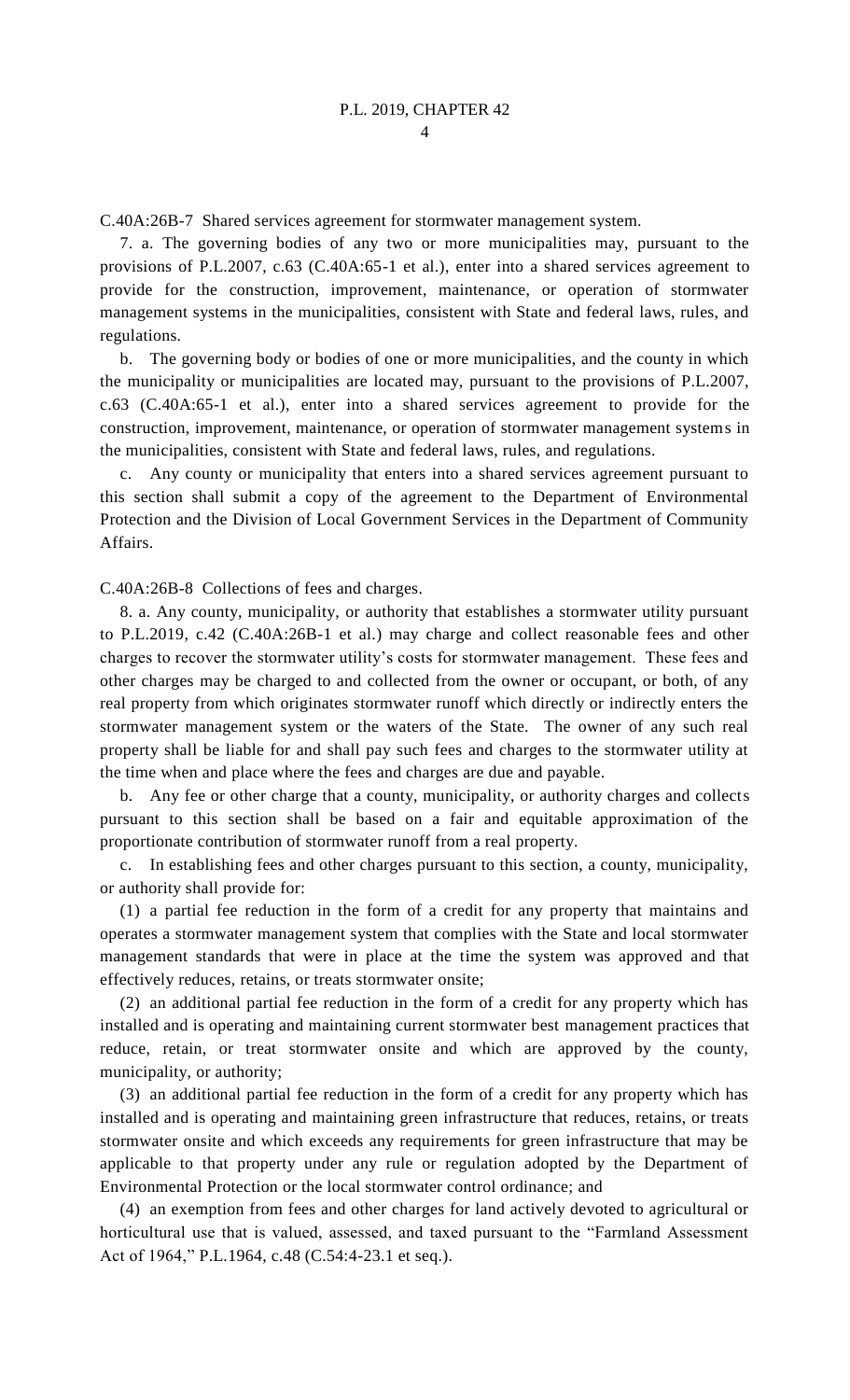C.40A:26B-7 Shared services agreement for stormwater management system.

7. a. The governing bodies of any two or more municipalities may, pursuant to the provisions of P.L.2007, c.63 (C.40A:65-1 et al.), enter into a shared services agreement to provide for the construction, improvement, maintenance, or operation of stormwater management systems in the municipalities, consistent with State and federal laws, rules, and regulations.

b. The governing body or bodies of one or more municipalities, and the county in which the municipality or municipalities are located may, pursuant to the provisions of P.L.2007, c.63 (C.40A:65-1 et al.), enter into a shared services agreement to provide for the construction, improvement, maintenance, or operation of stormwater management systems in the municipalities, consistent with State and federal laws, rules, and regulations.

c. Any county or municipality that enters into a shared services agreement pursuant to this section shall submit a copy of the agreement to the Department of Environmental Protection and the Division of Local Government Services in the Department of Community Affairs.

C.40A:26B-8 Collections of fees and charges.

8. a. Any county, municipality, or authority that establishes a stormwater utility pursuant to P.L.2019, c.42 (C.40A:26B-1 et al.) may charge and collect reasonable fees and other charges to recover the stormwater utility's costs for stormwater management. These fees and other charges may be charged to and collected from the owner or occupant, or both, of any real property from which originates stormwater runoff which directly or indirectly enters the stormwater management system or the waters of the State. The owner of any such real property shall be liable for and shall pay such fees and charges to the stormwater utility at the time when and place where the fees and charges are due and payable.

b. Any fee or other charge that a county, municipality, or authority charges and collects pursuant to this section shall be based on a fair and equitable approximation of the proportionate contribution of stormwater runoff from a real property.

c. In establishing fees and other charges pursuant to this section, a county, municipality, or authority shall provide for:

(1) a partial fee reduction in the form of a credit for any property that maintains and operates a stormwater management system that complies with the State and local stormwater management standards that were in place at the time the system was approved and that effectively reduces, retains, or treats stormwater onsite;

(2) an additional partial fee reduction in the form of a credit for any property which has installed and is operating and maintaining current stormwater best management practices that reduce, retain, or treat stormwater onsite and which are approved by the county, municipality, or authority;

(3) an additional partial fee reduction in the form of a credit for any property which has installed and is operating and maintaining green infrastructure that reduces, retains, or treats stormwater onsite and which exceeds any requirements for green infrastructure that may be applicable to that property under any rule or regulation adopted by the Department of Environmental Protection or the local stormwater control ordinance; and

(4) an exemption from fees and other charges for land actively devoted to agricultural or horticultural use that is valued, assessed, and taxed pursuant to the "Farmland Assessment Act of 1964," P.L.1964, c.48 (C.54:4-23.1 et seq.).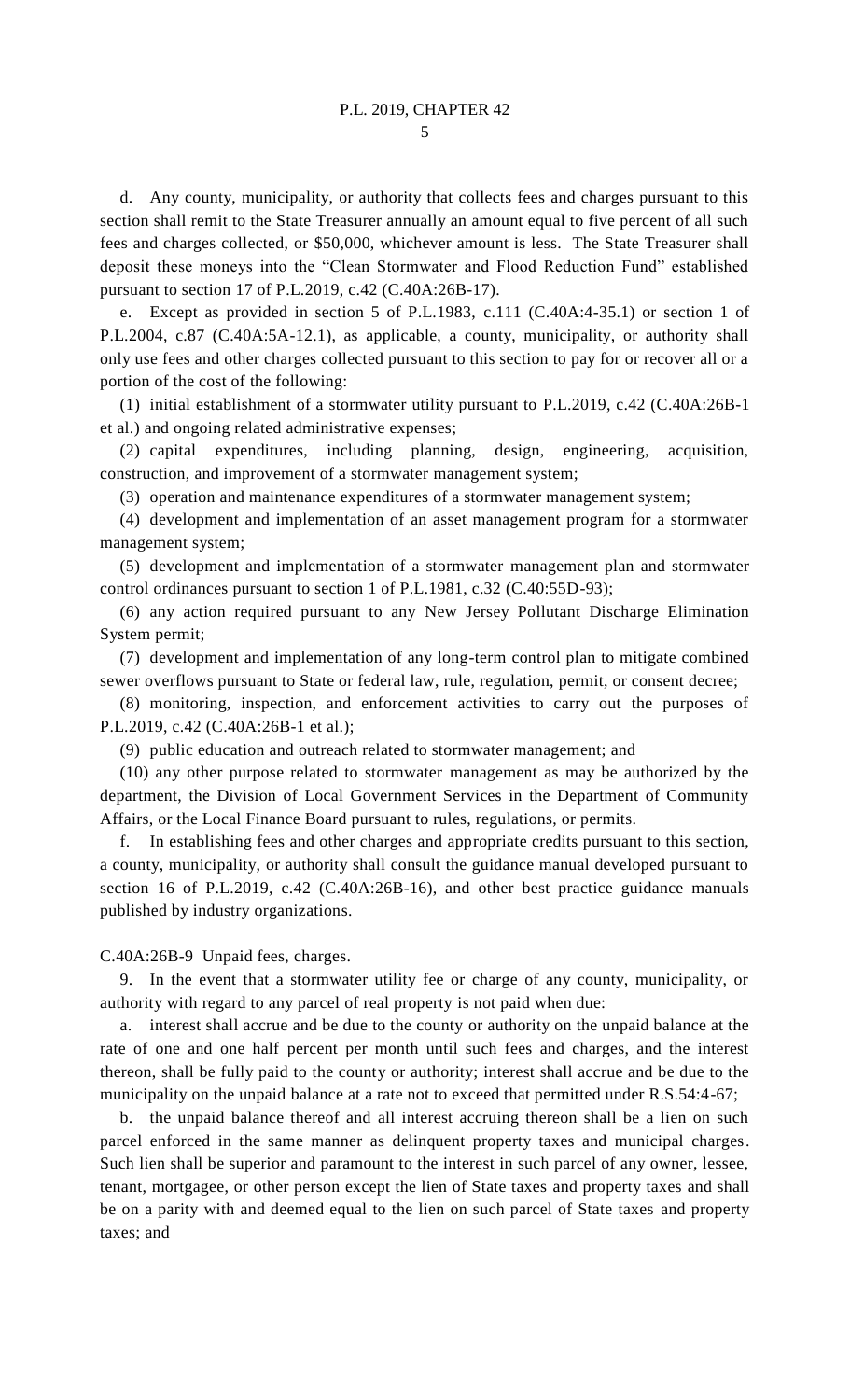d. Any county, municipality, or authority that collects fees and charges pursuant to this section shall remit to the State Treasurer annually an amount equal to five percent of all such fees and charges collected, or \$50,000, whichever amount is less. The State Treasurer shall deposit these moneys into the "Clean Stormwater and Flood Reduction Fund" established pursuant to section 17 of P.L.2019, c.42 (C.40A:26B-17).

e. Except as provided in section 5 of P.L.1983, c.111 (C.40A:4-35.1) or section 1 of P.L.2004, c.87 (C.40A:5A-12.1), as applicable, a county, municipality, or authority shall only use fees and other charges collected pursuant to this section to pay for or recover all or a portion of the cost of the following:

(1) initial establishment of a stormwater utility pursuant to P.L.2019, c.42 (C.40A:26B-1 et al.) and ongoing related administrative expenses;

(2) capital expenditures, including planning, design, engineering, acquisition, construction, and improvement of a stormwater management system;

(3) operation and maintenance expenditures of a stormwater management system;

(4) development and implementation of an asset management program for a stormwater management system;

(5) development and implementation of a stormwater management plan and stormwater control ordinances pursuant to section 1 of P.L.1981, c.32 (C.40:55D-93);

(6) any action required pursuant to any New Jersey Pollutant Discharge Elimination System permit;

(7) development and implementation of any long-term control plan to mitigate combined sewer overflows pursuant to State or federal law, rule, regulation, permit, or consent decree;

(8) monitoring, inspection, and enforcement activities to carry out the purposes of P.L.2019, c.42 (C.40A:26B-1 et al.);

(9) public education and outreach related to stormwater management; and

(10) any other purpose related to stormwater management as may be authorized by the department, the Division of Local Government Services in the Department of Community Affairs, or the Local Finance Board pursuant to rules, regulations, or permits.

f. In establishing fees and other charges and appropriate credits pursuant to this section, a county, municipality, or authority shall consult the guidance manual developed pursuant to section 16 of P.L.2019, c.42 (C.40A:26B-16), and other best practice guidance manuals published by industry organizations.

C.40A:26B-9 Unpaid fees, charges.

9. In the event that a stormwater utility fee or charge of any county, municipality, or authority with regard to any parcel of real property is not paid when due:

a. interest shall accrue and be due to the county or authority on the unpaid balance at the rate of one and one half percent per month until such fees and charges, and the interest thereon, shall be fully paid to the county or authority; interest shall accrue and be due to the municipality on the unpaid balance at a rate not to exceed that permitted under R.S.54:4-67;

b. the unpaid balance thereof and all interest accruing thereon shall be a lien on such parcel enforced in the same manner as delinquent property taxes and municipal charges. Such lien shall be superior and paramount to the interest in such parcel of any owner, lessee, tenant, mortgagee, or other person except the lien of State taxes and property taxes and shall be on a parity with and deemed equal to the lien on such parcel of State taxes and property taxes; and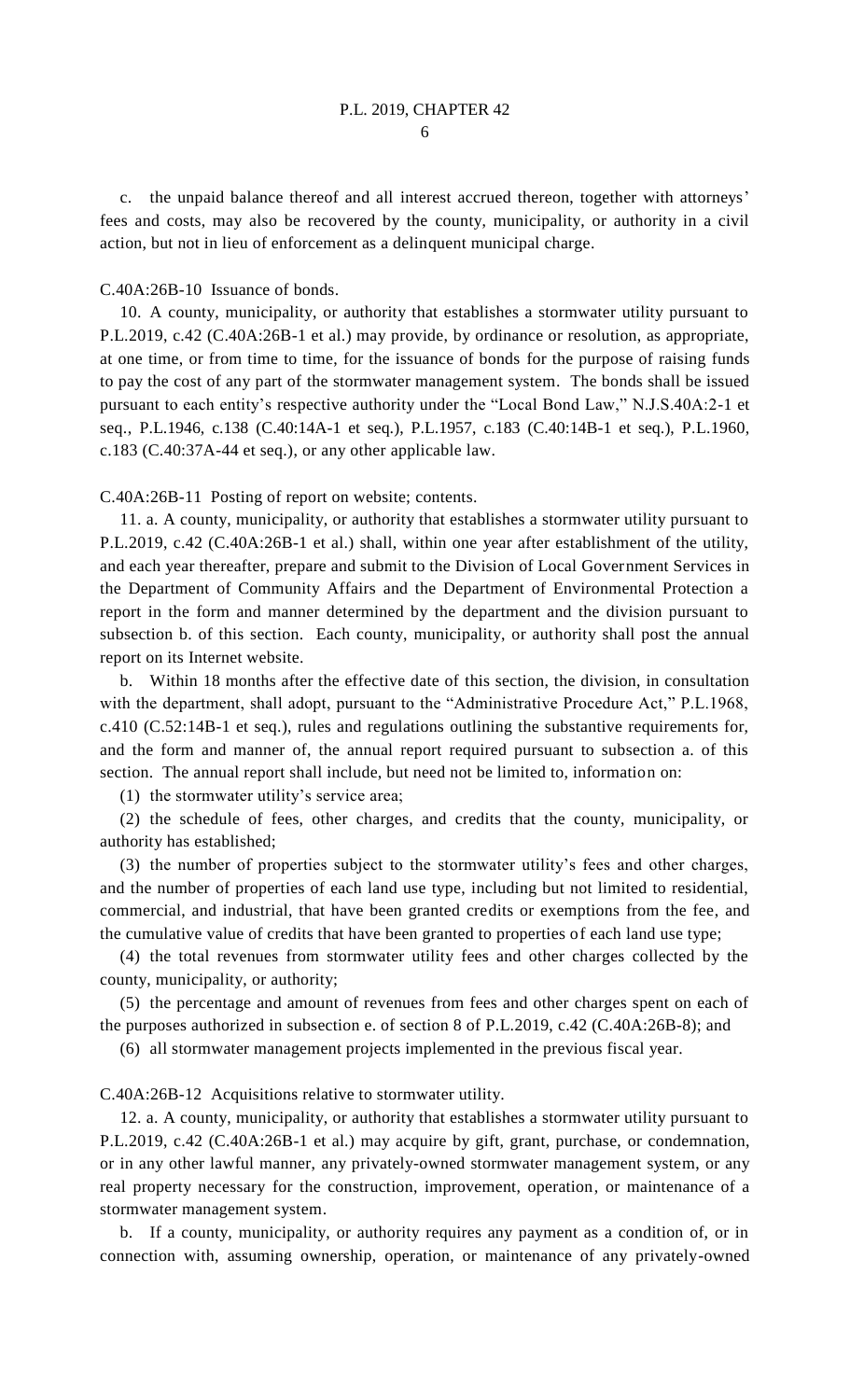c. the unpaid balance thereof and all interest accrued thereon, together with attorneys' fees and costs, may also be recovered by the county, municipality, or authority in a civil action, but not in lieu of enforcement as a delinquent municipal charge.

C.40A:26B-10 Issuance of bonds.

10. A county, municipality, or authority that establishes a stormwater utility pursuant to P.L.2019, c.42 (C.40A:26B-1 et al.) may provide, by ordinance or resolution, as appropriate, at one time, or from time to time, for the issuance of bonds for the purpose of raising funds to pay the cost of any part of the stormwater management system. The bonds shall be issued pursuant to each entity's respective authority under the "Local Bond Law," N.J.S.40A:2-1 et seq., P.L.1946, c.138 (C.40:14A-1 et seq.), P.L.1957, c.183 (C.40:14B-1 et seq.), P.L.1960, c.183 (C.40:37A-44 et seq.), or any other applicable law.

C.40A:26B-11 Posting of report on website; contents.

11. a. A county, municipality, or authority that establishes a stormwater utility pursuant to P.L.2019, c.42 (C.40A:26B-1 et al.) shall, within one year after establishment of the utility, and each year thereafter, prepare and submit to the Division of Local Government Services in the Department of Community Affairs and the Department of Environmental Protection a report in the form and manner determined by the department and the division pursuant to subsection b. of this section. Each county, municipality, or authority shall post the annual report on its Internet website.

b. Within 18 months after the effective date of this section, the division, in consultation with the department, shall adopt, pursuant to the "Administrative Procedure Act," P.L.1968, c.410 (C.52:14B-1 et seq.), rules and regulations outlining the substantive requirements for, and the form and manner of, the annual report required pursuant to subsection a. of this section. The annual report shall include, but need not be limited to, information on:

(1) the stormwater utility's service area;

(2) the schedule of fees, other charges, and credits that the county, municipality, or authority has established;

(3) the number of properties subject to the stormwater utility's fees and other charges, and the number of properties of each land use type, including but not limited to residential, commercial, and industrial, that have been granted credits or exemptions from the fee, and the cumulative value of credits that have been granted to properties of each land use type;

(4) the total revenues from stormwater utility fees and other charges collected by the county, municipality, or authority;

(5) the percentage and amount of revenues from fees and other charges spent on each of the purposes authorized in subsection e. of section 8 of P.L.2019, c.42 (C.40A:26B-8); and

(6) all stormwater management projects implemented in the previous fiscal year.

C.40A:26B-12 Acquisitions relative to stormwater utility.

12. a. A county, municipality, or authority that establishes a stormwater utility pursuant to P.L.2019, c.42 (C.40A:26B-1 et al.) may acquire by gift, grant, purchase, or condemnation, or in any other lawful manner, any privately-owned stormwater management system, or any real property necessary for the construction, improvement, operation, or maintenance of a stormwater management system.

b. If a county, municipality, or authority requires any payment as a condition of, or in connection with, assuming ownership, operation, or maintenance of any privately-owned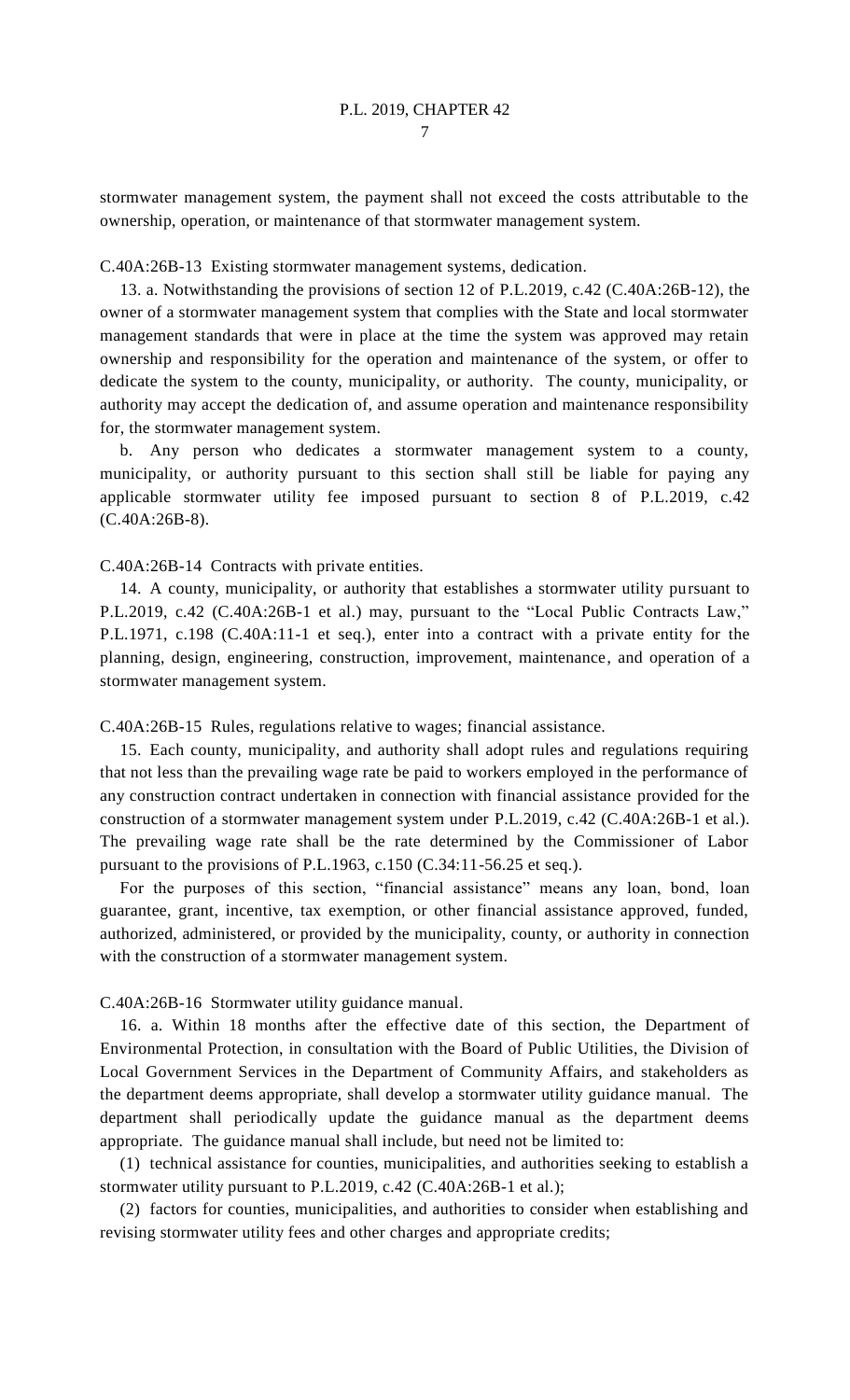stormwater management system, the payment shall not exceed the costs attributable to the ownership, operation, or maintenance of that stormwater management system.

C.40A:26B-13 Existing stormwater management systems, dedication.

13. a. Notwithstanding the provisions of section 12 of P.L.2019, c.42 (C.40A:26B-12), the owner of a stormwater management system that complies with the State and local stormwater management standards that were in place at the time the system was approved may retain ownership and responsibility for the operation and maintenance of the system, or offer to dedicate the system to the county, municipality, or authority. The county, municipality, or authority may accept the dedication of, and assume operation and maintenance responsibility for, the stormwater management system.

b. Any person who dedicates a stormwater management system to a county, municipality, or authority pursuant to this section shall still be liable for paying any applicable stormwater utility fee imposed pursuant to section 8 of P.L.2019, c.42 (C.40A:26B-8).

C.40A:26B-14 Contracts with private entities.

14. A county, municipality, or authority that establishes a stormwater utility pursuant to P.L.2019, c.42 (C.40A:26B-1 et al.) may, pursuant to the "Local Public Contracts Law," P.L.1971, c.198 (C.40A:11-1 et seq.), enter into a contract with a private entity for the planning, design, engineering, construction, improvement, maintenance, and operation of a stormwater management system.

C.40A:26B-15 Rules, regulations relative to wages; financial assistance.

15. Each county, municipality, and authority shall adopt rules and regulations requiring that not less than the prevailing wage rate be paid to workers employed in the performance of any construction contract undertaken in connection with financial assistance provided for the construction of a stormwater management system under P.L.2019, c.42 (C.40A:26B-1 et al.). The prevailing wage rate shall be the rate determined by the Commissioner of Labor pursuant to the provisions of P.L.1963, c.150 (C.34:11-56.25 et seq.).

For the purposes of this section, "financial assistance" means any loan, bond, loan guarantee, grant, incentive, tax exemption, or other financial assistance approved, funded, authorized, administered, or provided by the municipality, county, or authority in connection with the construction of a stormwater management system.

C.40A:26B-16 Stormwater utility guidance manual.

16. a. Within 18 months after the effective date of this section, the Department of Environmental Protection, in consultation with the Board of Public Utilities, the Division of Local Government Services in the Department of Community Affairs, and stakeholders as the department deems appropriate, shall develop a stormwater utility guidance manual. The department shall periodically update the guidance manual as the department deems appropriate. The guidance manual shall include, but need not be limited to:

(1) technical assistance for counties, municipalities, and authorities seeking to establish a stormwater utility pursuant to P.L.2019, c.42 (C.40A:26B-1 et al.);

(2) factors for counties, municipalities, and authorities to consider when establishing and revising stormwater utility fees and other charges and appropriate credits;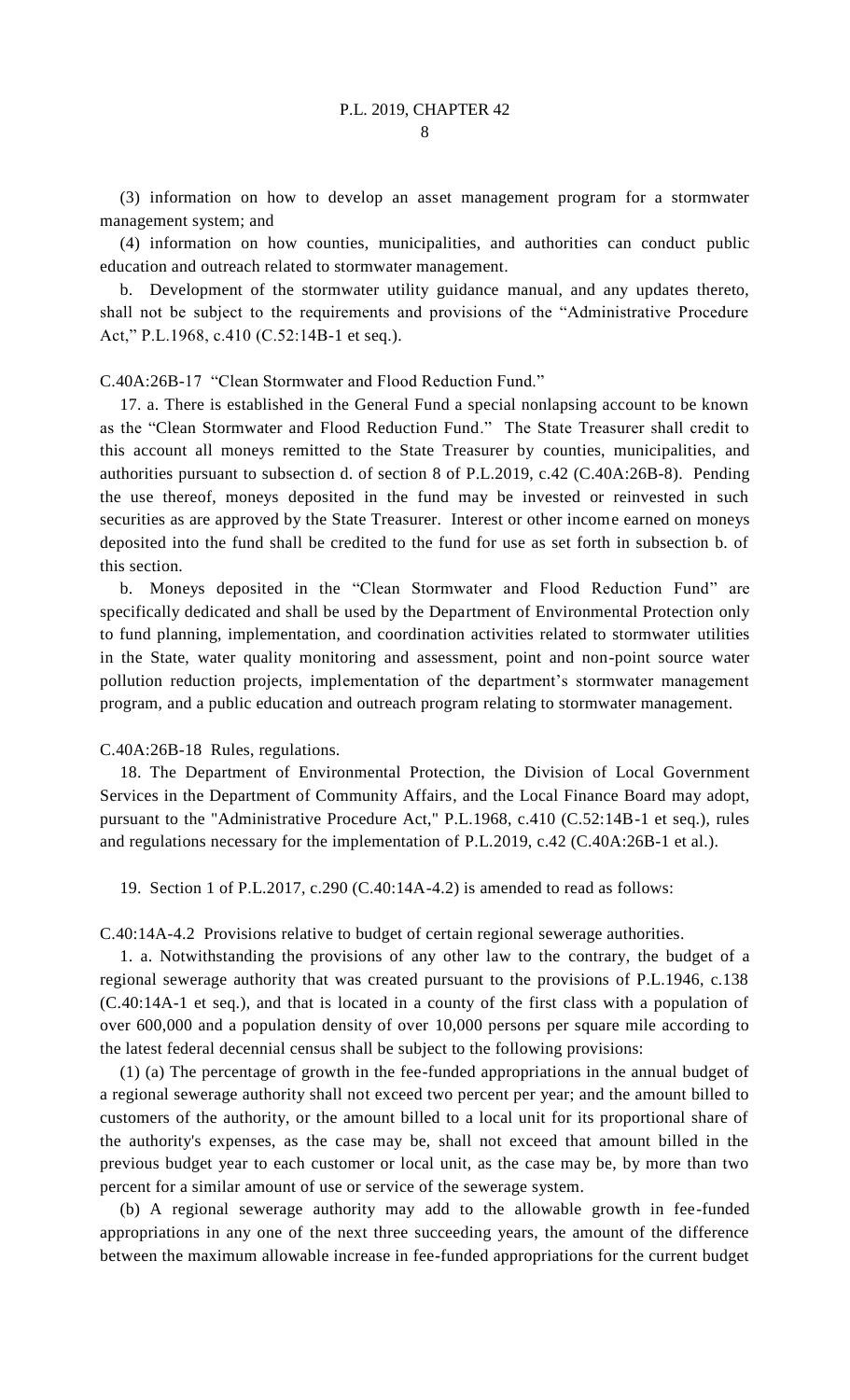$\mathbf{Q}$ 

(3) information on how to develop an asset management program for a stormwater management system; and

(4) information on how counties, municipalities, and authorities can conduct public education and outreach related to stormwater management.

b. Development of the stormwater utility guidance manual, and any updates thereto, shall not be subject to the requirements and provisions of the "Administrative Procedure Act," P.L.1968, c.410 (C.52:14B-1 et seq.).

C.40A:26B-17 "Clean Stormwater and Flood Reduction Fund."

17. a. There is established in the General Fund a special nonlapsing account to be known as the "Clean Stormwater and Flood Reduction Fund." The State Treasurer shall credit to this account all moneys remitted to the State Treasurer by counties, municipalities, and authorities pursuant to subsection d. of section 8 of P.L.2019, c.42 (C.40A:26B-8). Pending the use thereof, moneys deposited in the fund may be invested or reinvested in such securities as are approved by the State Treasurer. Interest or other income earned on moneys deposited into the fund shall be credited to the fund for use as set forth in subsection b. of this section.

b. Moneys deposited in the "Clean Stormwater and Flood Reduction Fund" are specifically dedicated and shall be used by the Department of Environmental Protection only to fund planning, implementation, and coordination activities related to stormwater utilities in the State, water quality monitoring and assessment, point and non-point source water pollution reduction projects, implementation of the department's stormwater management program, and a public education and outreach program relating to stormwater management.

C.40A:26B-18 Rules, regulations.

18. The Department of Environmental Protection, the Division of Local Government Services in the Department of Community Affairs, and the Local Finance Board may adopt, pursuant to the "Administrative Procedure Act," P.L.1968, c.410 (C.52:14B-1 et seq.), rules and regulations necessary for the implementation of P.L.2019, c.42 (C.40A:26B-1 et al.).

19. Section 1 of P.L.2017, c.290 (C.40:14A-4.2) is amended to read as follows:

C.40:14A-4.2 Provisions relative to budget of certain regional sewerage authorities.

1. a. Notwithstanding the provisions of any other law to the contrary, the budget of a regional sewerage authority that was created pursuant to the provisions of P.L.1946, c.138 (C.40:14A-1 et seq.), and that is located in a county of the first class with a population of over 600,000 and a population density of over 10,000 persons per square mile according to the latest federal decennial census shall be subject to the following provisions:

(1) (a) The percentage of growth in the fee-funded appropriations in the annual budget of a regional sewerage authority shall not exceed two percent per year; and the amount billed to customers of the authority, or the amount billed to a local unit for its proportional share of the authority's expenses, as the case may be, shall not exceed that amount billed in the previous budget year to each customer or local unit, as the case may be, by more than two percent for a similar amount of use or service of the sewerage system.

(b) A regional sewerage authority may add to the allowable growth in fee-funded appropriations in any one of the next three succeeding years, the amount of the difference between the maximum allowable increase in fee-funded appropriations for the current budget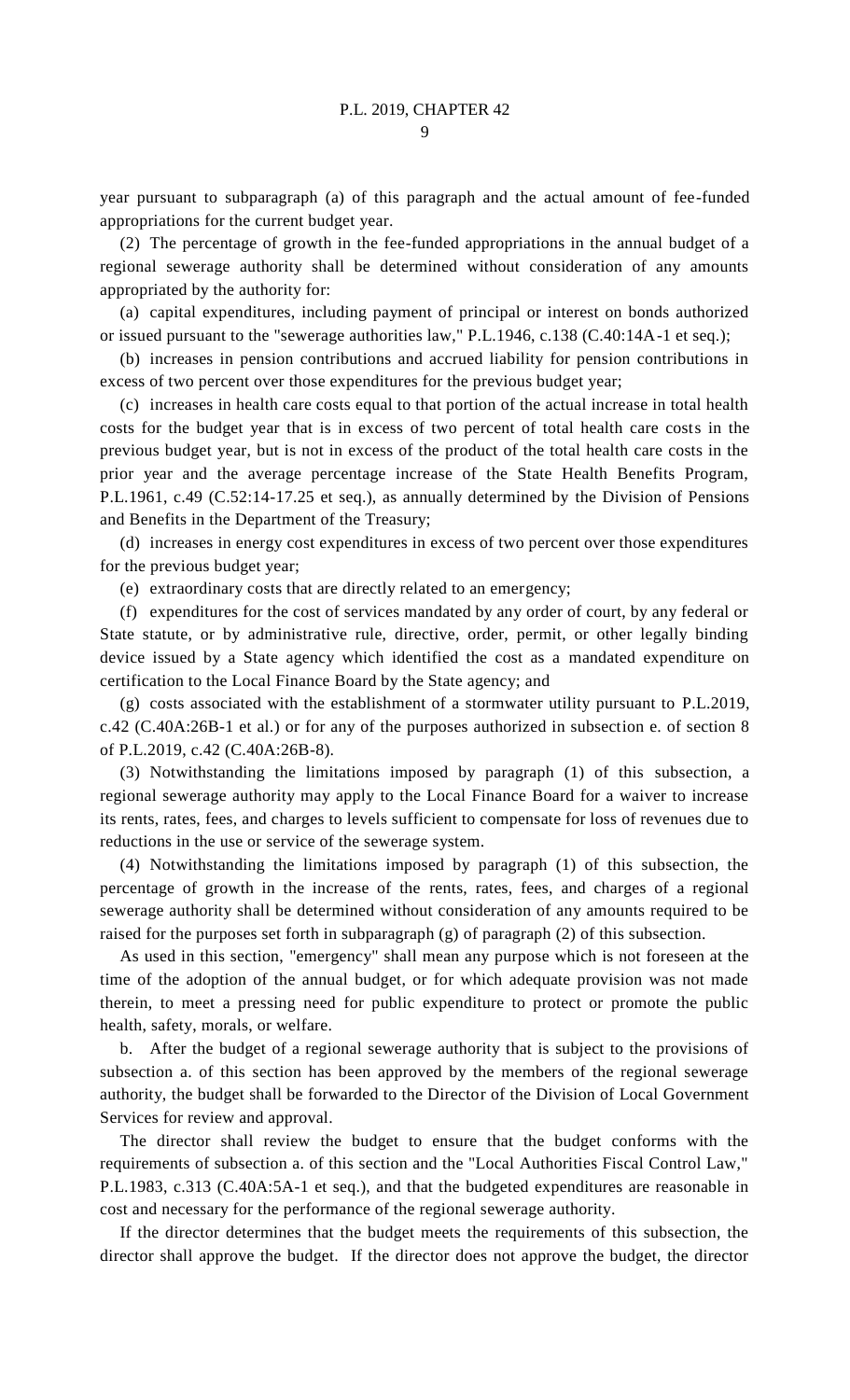year pursuant to subparagraph (a) of this paragraph and the actual amount of fee-funded appropriations for the current budget year.

(2) The percentage of growth in the fee-funded appropriations in the annual budget of a regional sewerage authority shall be determined without consideration of any amounts appropriated by the authority for:

(a) capital expenditures, including payment of principal or interest on bonds authorized or issued pursuant to the "sewerage authorities law," P.L.1946, c.138 (C.40:14A-1 et seq.);

(b) increases in pension contributions and accrued liability for pension contributions in excess of two percent over those expenditures for the previous budget year;

(c) increases in health care costs equal to that portion of the actual increase in total health costs for the budget year that is in excess of two percent of total health care costs in the previous budget year, but is not in excess of the product of the total health care costs in the prior year and the average percentage increase of the State Health Benefits Program, P.L.1961, c.49 (C.52:14-17.25 et seq.), as annually determined by the Division of Pensions and Benefits in the Department of the Treasury;

(d) increases in energy cost expenditures in excess of two percent over those expenditures for the previous budget year;

(e) extraordinary costs that are directly related to an emergency;

(f) expenditures for the cost of services mandated by any order of court, by any federal or State statute, or by administrative rule, directive, order, permit, or other legally binding device issued by a State agency which identified the cost as a mandated expenditure on certification to the Local Finance Board by the State agency; and

(g) costs associated with the establishment of a stormwater utility pursuant to P.L.2019, c.42 (C.40A:26B-1 et al.) or for any of the purposes authorized in subsection e. of section 8 of P.L.2019, c.42 (C.40A:26B-8).

(3) Notwithstanding the limitations imposed by paragraph (1) of this subsection, a regional sewerage authority may apply to the Local Finance Board for a waiver to increase its rents, rates, fees, and charges to levels sufficient to compensate for loss of revenues due to reductions in the use or service of the sewerage system.

(4) Notwithstanding the limitations imposed by paragraph (1) of this subsection, the percentage of growth in the increase of the rents, rates, fees, and charges of a regional sewerage authority shall be determined without consideration of any amounts required to be raised for the purposes set forth in subparagraph (g) of paragraph (2) of this subsection.

As used in this section, "emergency" shall mean any purpose which is not foreseen at the time of the adoption of the annual budget, or for which adequate provision was not made therein, to meet a pressing need for public expenditure to protect or promote the public health, safety, morals, or welfare.

b. After the budget of a regional sewerage authority that is subject to the provisions of subsection a. of this section has been approved by the members of the regional sewerage authority, the budget shall be forwarded to the Director of the Division of Local Government Services for review and approval.

The director shall review the budget to ensure that the budget conforms with the requirements of subsection a. of this section and the "Local Authorities Fiscal Control Law," P.L.1983, c.313 (C.40A:5A-1 et seq.), and that the budgeted expenditures are reasonable in cost and necessary for the performance of the regional sewerage authority.

If the director determines that the budget meets the requirements of this subsection, the director shall approve the budget. If the director does not approve the budget, the director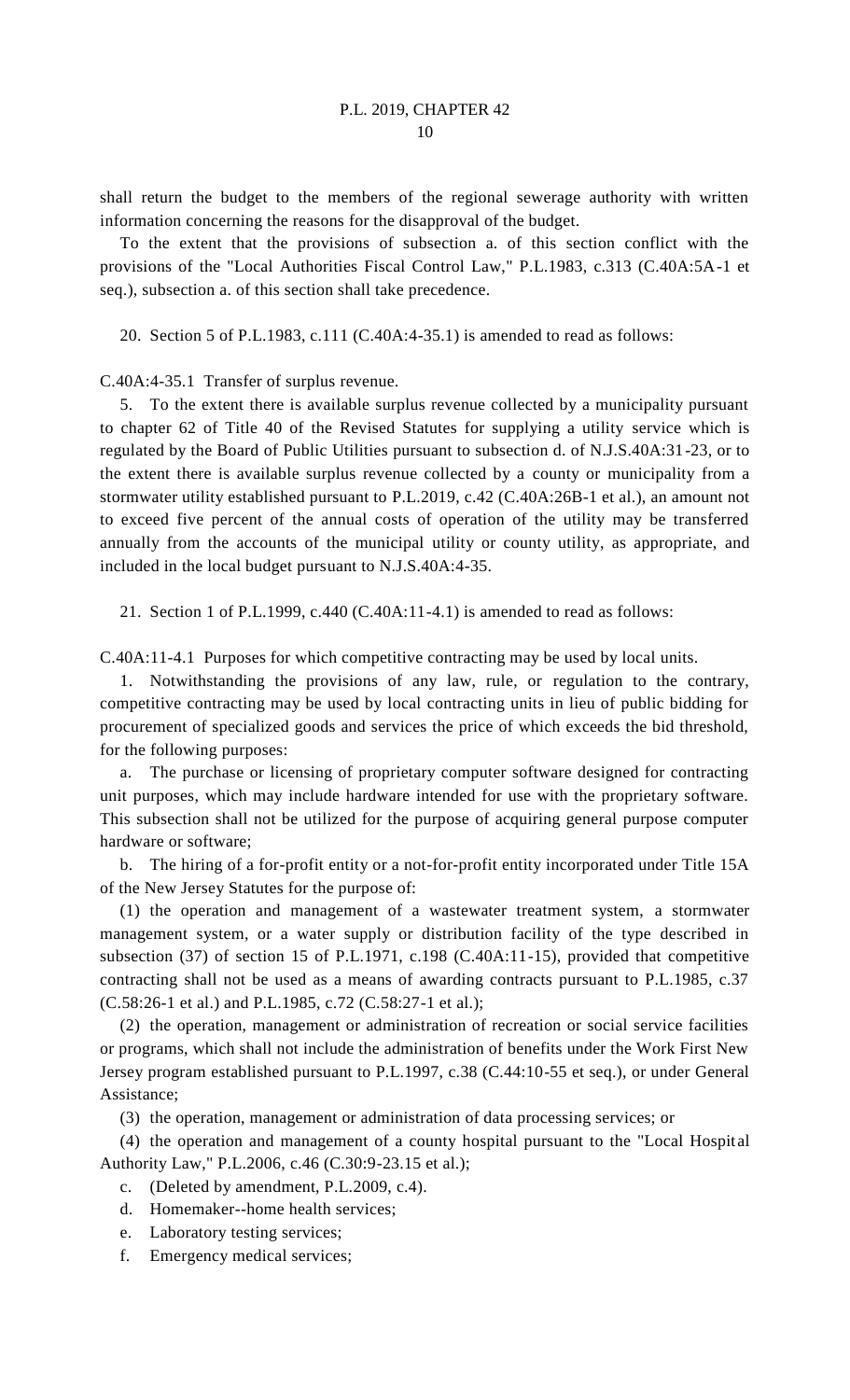shall return the budget to the members of the regional sewerage authority with written information concerning the reasons for the disapproval of the budget.

To the extent that the provisions of subsection a. of this section conflict with the provisions of the "Local Authorities Fiscal Control Law," P.L.1983, c.313 (C.40A:5A-1 et seq.), subsection a. of this section shall take precedence.

20. Section 5 of P.L.1983, c.111 (C.40A:4-35.1) is amended to read as follows:

C.40A:4-35.1 Transfer of surplus revenue.

5. To the extent there is available surplus revenue collected by a municipality pursuant to chapter 62 of Title 40 of the Revised Statutes for supplying a utility service which is regulated by the Board of Public Utilities pursuant to subsection d. of N.J.S.40A:31-23, or to the extent there is available surplus revenue collected by a county or municipality from a stormwater utility established pursuant to P.L.2019, c.42 (C.40A:26B-1 et al.), an amount not to exceed five percent of the annual costs of operation of the utility may be transferred annually from the accounts of the municipal utility or county utility, as appropriate, and included in the local budget pursuant to N.J.S.40A:4-35.

21. Section 1 of P.L.1999, c.440 (C.40A:11-4.1) is amended to read as follows:

C.40A:11-4.1 Purposes for which competitive contracting may be used by local units.

1. Notwithstanding the provisions of any law, rule, or regulation to the contrary, competitive contracting may be used by local contracting units in lieu of public bidding for procurement of specialized goods and services the price of which exceeds the bid threshold, for the following purposes:

a. The purchase or licensing of proprietary computer software designed for contracting unit purposes, which may include hardware intended for use with the proprietary software. This subsection shall not be utilized for the purpose of acquiring general purpose computer hardware or software;

b. The hiring of a for-profit entity or a not-for-profit entity incorporated under Title 15A of the New Jersey Statutes for the purpose of:

(1) the operation and management of a wastewater treatment system, a stormwater management system, or a water supply or distribution facility of the type described in subsection (37) of section 15 of P.L.1971, c.198 (C.40A:11-15), provided that competitive contracting shall not be used as a means of awarding contracts pursuant to P.L.1985, c.37 (C.58:26-1 et al.) and P.L.1985, c.72 (C.58:27-1 et al.);

(2) the operation, management or administration of recreation or social service facilities or programs, which shall not include the administration of benefits under the Work First New Jersey program established pursuant to P.L.1997, c.38 (C.44:10-55 et seq.), or under General Assistance;

(3) the operation, management or administration of data processing services; or

(4) the operation and management of a county hospital pursuant to the "Local Hospital Authority Law," P.L.2006, c.46 (C.30:9-23.15 et al.);

c. (Deleted by amendment, P.L.2009, c.4).

- d. Homemaker--home health services;
- e. Laboratory testing services;
- f. Emergency medical services;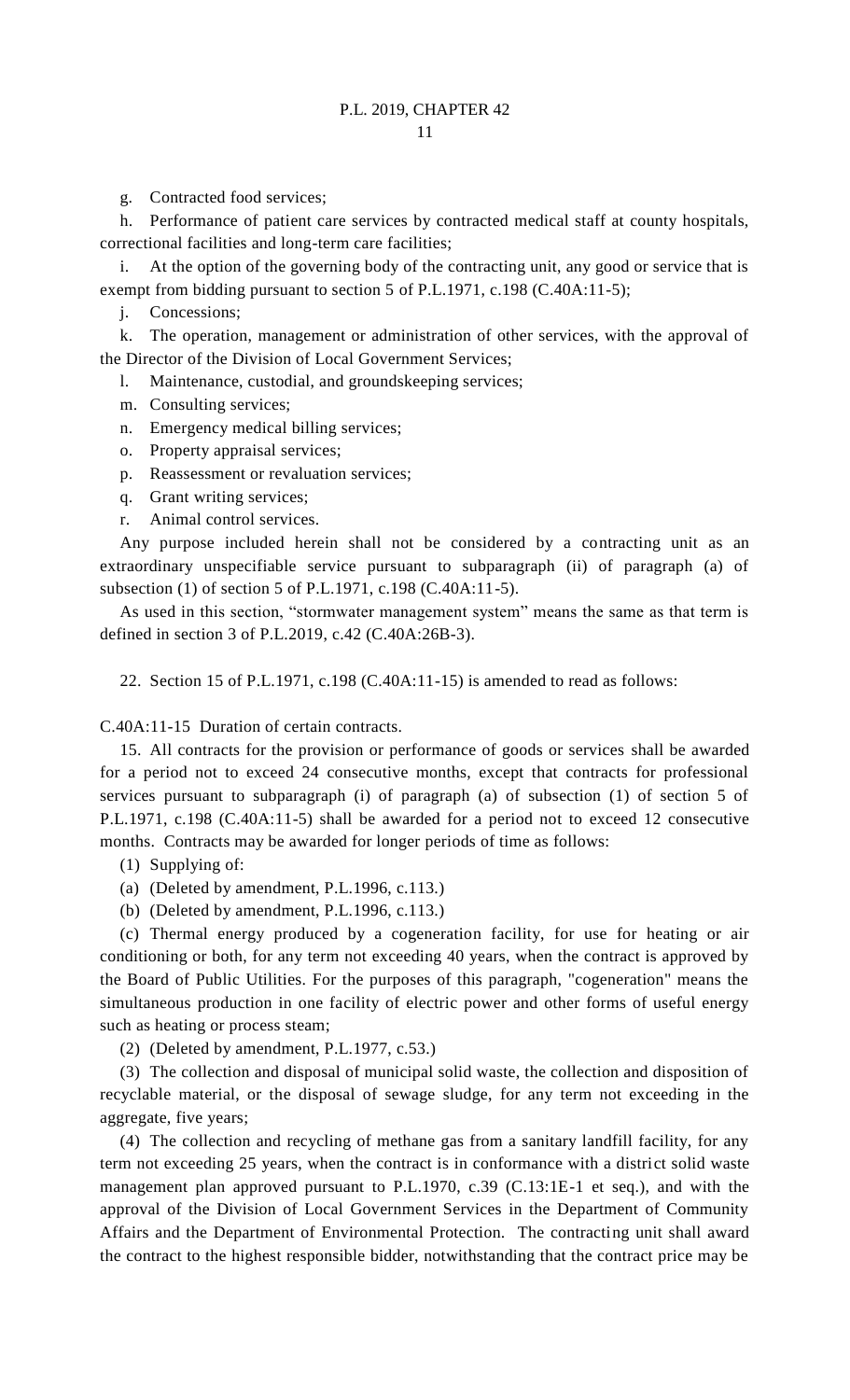g. Contracted food services;

h. Performance of patient care services by contracted medical staff at county hospitals, correctional facilities and long-term care facilities;

i. At the option of the governing body of the contracting unit, any good or service that is exempt from bidding pursuant to section 5 of P.L.1971, c.198 (C.40A:11-5);

j. Concessions;

k. The operation, management or administration of other services, with the approval of the Director of the Division of Local Government Services;

- l. Maintenance, custodial, and groundskeeping services;
- m. Consulting services;
- n. Emergency medical billing services;
- o. Property appraisal services;
- p. Reassessment or revaluation services;
- q. Grant writing services;
- r. Animal control services.

Any purpose included herein shall not be considered by a contracting unit as an extraordinary unspecifiable service pursuant to subparagraph (ii) of paragraph (a) of subsection (1) of section 5 of P.L.1971, c.198 (C.40A:11-5).

As used in this section, "stormwater management system" means the same as that term is defined in section 3 of P.L.2019, c.42 (C.40A:26B-3).

22. Section 15 of P.L.1971, c.198 (C.40A:11-15) is amended to read as follows:

C.40A:11-15 Duration of certain contracts.

15. All contracts for the provision or performance of goods or services shall be awarded for a period not to exceed 24 consecutive months, except that contracts for professional services pursuant to subparagraph (i) of paragraph (a) of subsection (1) of section 5 of P.L.1971, c.198 (C.40A:11-5) shall be awarded for a period not to exceed 12 consecutive months. Contracts may be awarded for longer periods of time as follows:

(1) Supplying of:

- (a) (Deleted by amendment, P.L.1996, c.113.)
- (b) (Deleted by amendment, P.L.1996, c.113.)

(c) Thermal energy produced by a cogeneration facility, for use for heating or air conditioning or both, for any term not exceeding 40 years, when the contract is approved by the Board of Public Utilities. For the purposes of this paragraph, "cogeneration" means the simultaneous production in one facility of electric power and other forms of useful energy such as heating or process steam;

(2) (Deleted by amendment, P.L.1977, c.53.)

(3) The collection and disposal of municipal solid waste, the collection and disposition of recyclable material, or the disposal of sewage sludge, for any term not exceeding in the aggregate, five years;

(4) The collection and recycling of methane gas from a sanitary landfill facility, for any term not exceeding 25 years, when the contract is in conformance with a district solid waste management plan approved pursuant to P.L.1970, c.39 (C.13:1E-1 et seq.), and with the approval of the Division of Local Government Services in the Department of Community Affairs and the Department of Environmental Protection. The contracting unit shall award the contract to the highest responsible bidder, notwithstanding that the contract price may be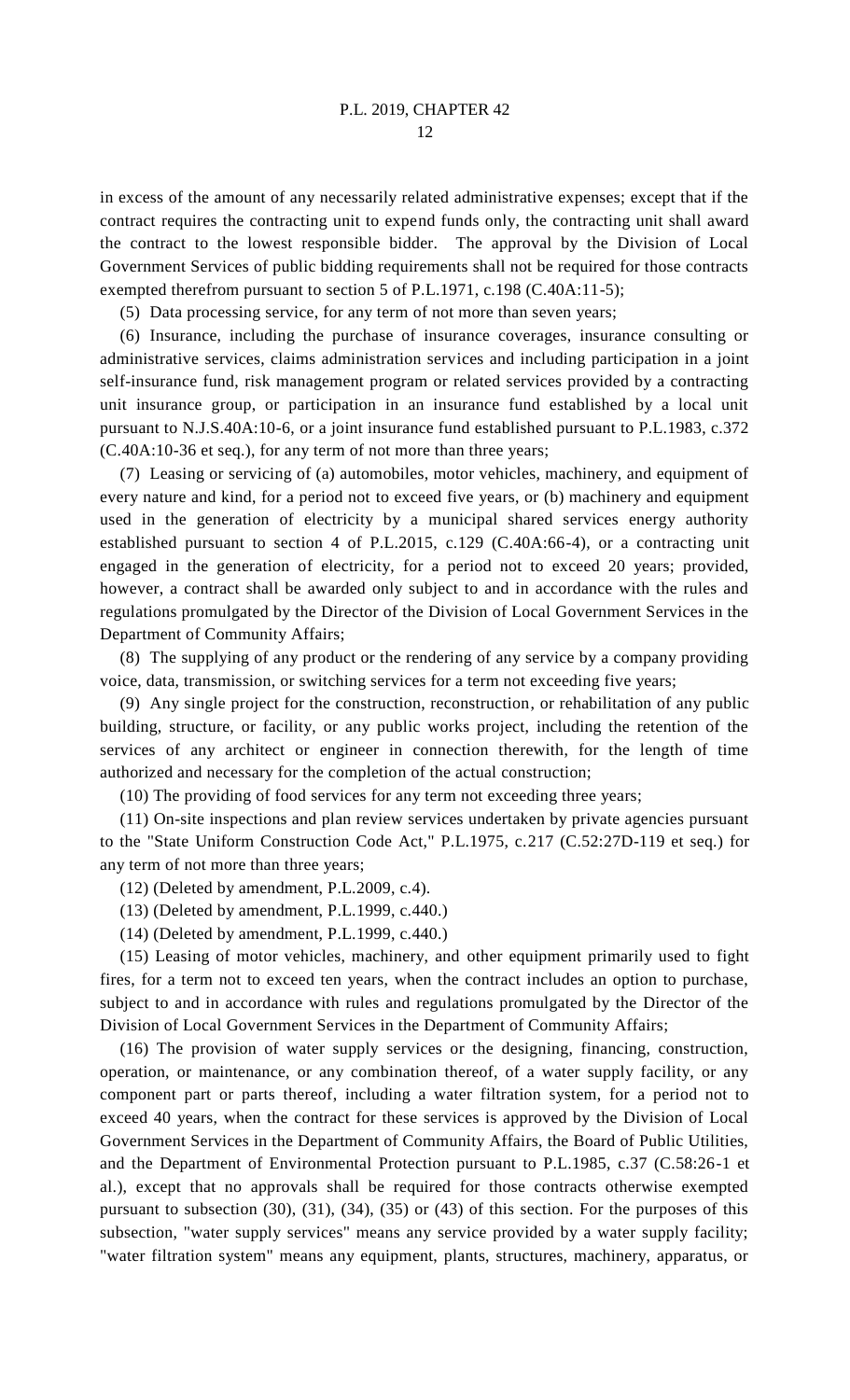in excess of the amount of any necessarily related administrative expenses; except that if the contract requires the contracting unit to expend funds only, the contracting unit shall award the contract to the lowest responsible bidder. The approval by the Division of Local Government Services of public bidding requirements shall not be required for those contracts exempted therefrom pursuant to section 5 of P.L.1971, c.198 (C.40A:11-5);

(5) Data processing service, for any term of not more than seven years;

(6) Insurance, including the purchase of insurance coverages, insurance consulting or administrative services, claims administration services and including participation in a joint self-insurance fund, risk management program or related services provided by a contracting unit insurance group, or participation in an insurance fund established by a local unit pursuant to N.J.S.40A:10-6, or a joint insurance fund established pursuant to P.L.1983, c.372 (C.40A:10-36 et seq.), for any term of not more than three years;

(7) Leasing or servicing of (a) automobiles, motor vehicles, machinery, and equipment of every nature and kind, for a period not to exceed five years, or (b) machinery and equipment used in the generation of electricity by a municipal shared services energy authority established pursuant to section 4 of P.L.2015, c.129 (C.40A:66-4), or a contracting unit engaged in the generation of electricity, for a period not to exceed 20 years; provided, however, a contract shall be awarded only subject to and in accordance with the rules and regulations promulgated by the Director of the Division of Local Government Services in the Department of Community Affairs;

(8) The supplying of any product or the rendering of any service by a company providing voice, data, transmission, or switching services for a term not exceeding five years;

(9) Any single project for the construction, reconstruction, or rehabilitation of any public building, structure, or facility, or any public works project, including the retention of the services of any architect or engineer in connection therewith, for the length of time authorized and necessary for the completion of the actual construction;

(10) The providing of food services for any term not exceeding three years;

(11) On-site inspections and plan review services undertaken by private agencies pursuant to the "State Uniform Construction Code Act," P.L.1975, c.217 (C.52:27D-119 et seq.) for any term of not more than three years;

(12) (Deleted by amendment, P.L.2009, c.4).

(13) (Deleted by amendment, P.L.1999, c.440.)

(14) (Deleted by amendment, P.L.1999, c.440.)

(15) Leasing of motor vehicles, machinery, and other equipment primarily used to fight fires, for a term not to exceed ten years, when the contract includes an option to purchase, subject to and in accordance with rules and regulations promulgated by the Director of the Division of Local Government Services in the Department of Community Affairs;

(16) The provision of water supply services or the designing, financing, construction, operation, or maintenance, or any combination thereof, of a water supply facility, or any component part or parts thereof, including a water filtration system, for a period not to exceed 40 years, when the contract for these services is approved by the Division of Local Government Services in the Department of Community Affairs, the Board of Public Utilities, and the Department of Environmental Protection pursuant to P.L.1985, c.37 (C.58:26-1 et al.), except that no approvals shall be required for those contracts otherwise exempted pursuant to subsection (30), (31), (34), (35) or (43) of this section. For the purposes of this subsection, "water supply services" means any service provided by a water supply facility; "water filtration system" means any equipment, plants, structures, machinery, apparatus, or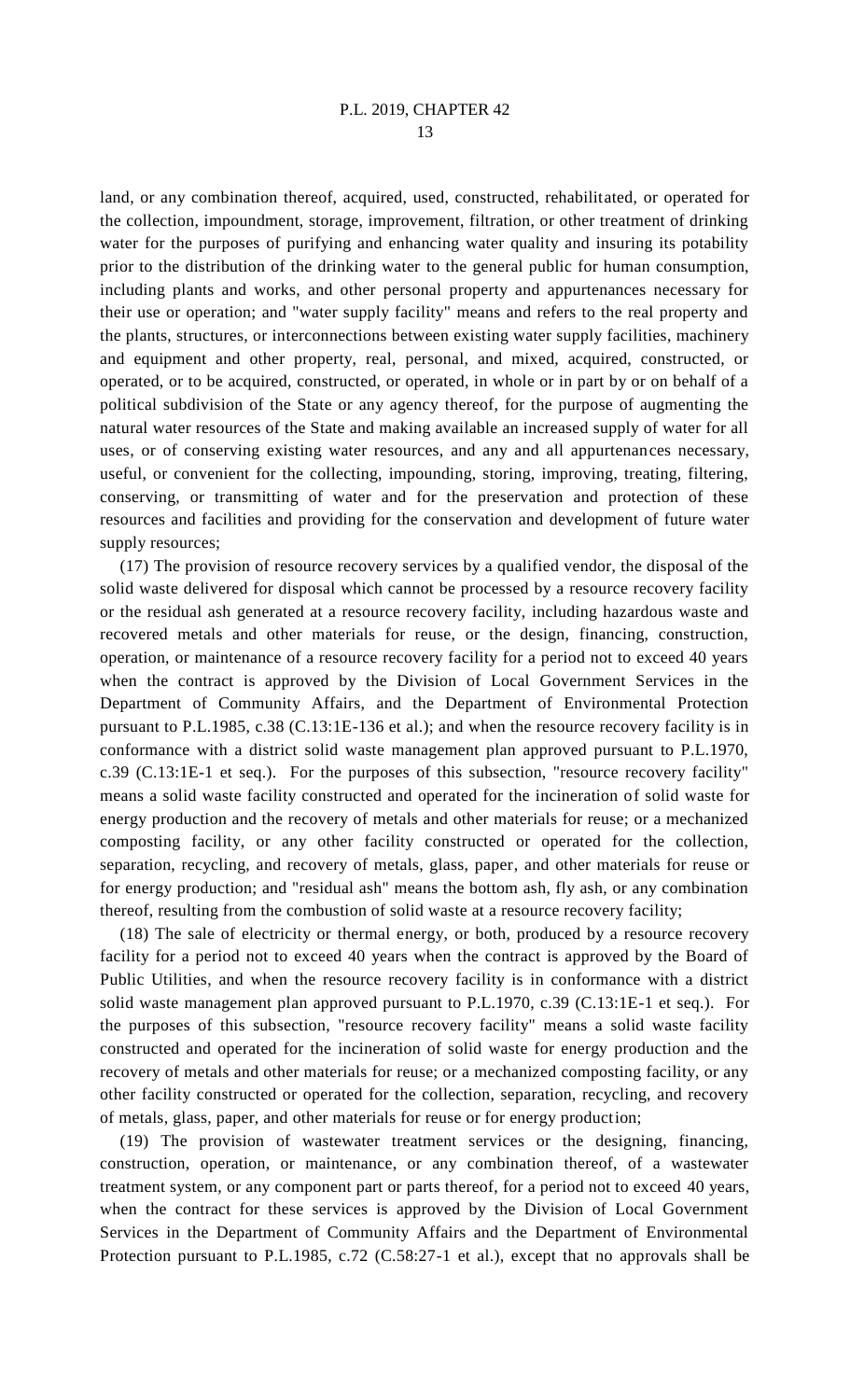land, or any combination thereof, acquired, used, constructed, rehabilitated, or operated for the collection, impoundment, storage, improvement, filtration, or other treatment of drinking water for the purposes of purifying and enhancing water quality and insuring its potability prior to the distribution of the drinking water to the general public for human consumption, including plants and works, and other personal property and appurtenances necessary for their use or operation; and "water supply facility" means and refers to the real property and the plants, structures, or interconnections between existing water supply facilities, machinery and equipment and other property, real, personal, and mixed, acquired, constructed, or operated, or to be acquired, constructed, or operated, in whole or in part by or on behalf of a political subdivision of the State or any agency thereof, for the purpose of augmenting the natural water resources of the State and making available an increased supply of water for all uses, or of conserving existing water resources, and any and all appurtenances necessary, useful, or convenient for the collecting, impounding, storing, improving, treating, filtering, conserving, or transmitting of water and for the preservation and protection of these resources and facilities and providing for the conservation and development of future water supply resources;

(17) The provision of resource recovery services by a qualified vendor, the disposal of the solid waste delivered for disposal which cannot be processed by a resource recovery facility or the residual ash generated at a resource recovery facility, including hazardous waste and recovered metals and other materials for reuse, or the design, financing, construction, operation, or maintenance of a resource recovery facility for a period not to exceed 40 years when the contract is approved by the Division of Local Government Services in the Department of Community Affairs, and the Department of Environmental Protection pursuant to P.L.1985, c.38 (C.13:1E-136 et al.); and when the resource recovery facility is in conformance with a district solid waste management plan approved pursuant to P.L.1970, c.39 (C.13:1E-1 et seq.). For the purposes of this subsection, "resource recovery facility" means a solid waste facility constructed and operated for the incineration of solid waste for energy production and the recovery of metals and other materials for reuse; or a mechanized composting facility, or any other facility constructed or operated for the collection, separation, recycling, and recovery of metals, glass, paper, and other materials for reuse or for energy production; and "residual ash" means the bottom ash, fly ash, or any combination thereof, resulting from the combustion of solid waste at a resource recovery facility;

(18) The sale of electricity or thermal energy, or both, produced by a resource recovery facility for a period not to exceed 40 years when the contract is approved by the Board of Public Utilities, and when the resource recovery facility is in conformance with a district solid waste management plan approved pursuant to P.L.1970, c.39 (C.13:1E-1 et seq.). For the purposes of this subsection, "resource recovery facility" means a solid waste facility constructed and operated for the incineration of solid waste for energy production and the recovery of metals and other materials for reuse; or a mechanized composting facility, or any other facility constructed or operated for the collection, separation, recycling, and recovery of metals, glass, paper, and other materials for reuse or for energy production;

(19) The provision of wastewater treatment services or the designing, financing, construction, operation, or maintenance, or any combination thereof, of a wastewater treatment system, or any component part or parts thereof, for a period not to exceed 40 years, when the contract for these services is approved by the Division of Local Government Services in the Department of Community Affairs and the Department of Environmental Protection pursuant to P.L.1985, c.72 (C.58:27-1 et al.), except that no approvals shall be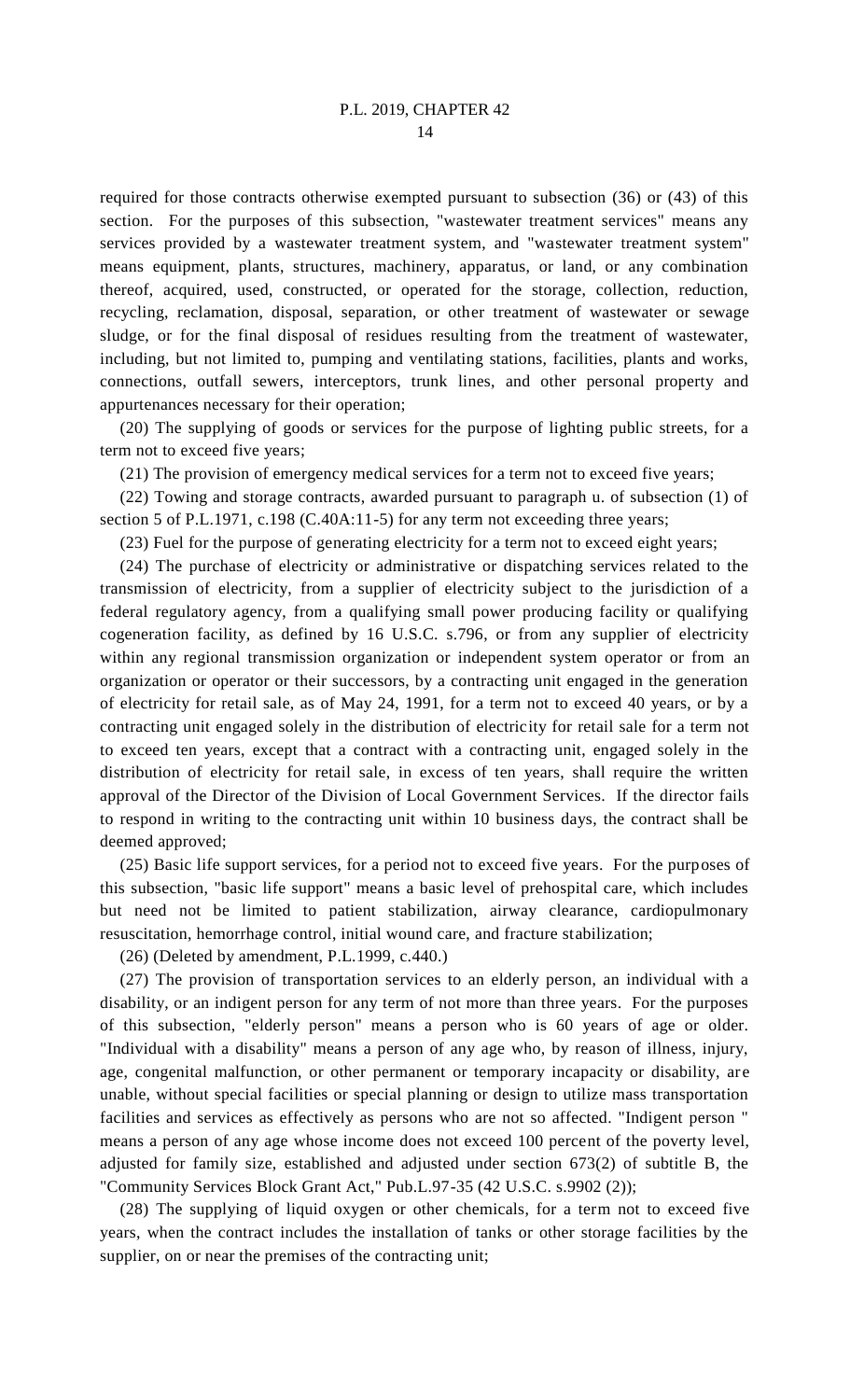required for those contracts otherwise exempted pursuant to subsection (36) or (43) of this section. For the purposes of this subsection, "wastewater treatment services" means any services provided by a wastewater treatment system, and "wastewater treatment system" means equipment, plants, structures, machinery, apparatus, or land, or any combination thereof, acquired, used, constructed, or operated for the storage, collection, reduction, recycling, reclamation, disposal, separation, or other treatment of wastewater or sewage sludge, or for the final disposal of residues resulting from the treatment of wastewater, including, but not limited to, pumping and ventilating stations, facilities, plants and works, connections, outfall sewers, interceptors, trunk lines, and other personal property and appurtenances necessary for their operation;

(20) The supplying of goods or services for the purpose of lighting public streets, for a term not to exceed five years;

(21) The provision of emergency medical services for a term not to exceed five years;

(22) Towing and storage contracts, awarded pursuant to paragraph u. of subsection (1) of section 5 of P.L.1971, c.198 (C.40A:11-5) for any term not exceeding three years;

(23) Fuel for the purpose of generating electricity for a term not to exceed eight years;

(24) The purchase of electricity or administrative or dispatching services related to the transmission of electricity, from a supplier of electricity subject to the jurisdiction of a federal regulatory agency, from a qualifying small power producing facility or qualifying cogeneration facility, as defined by 16 U.S.C. s.796, or from any supplier of electricity within any regional transmission organization or independent system operator or from an organization or operator or their successors, by a contracting unit engaged in the generation of electricity for retail sale, as of May 24, 1991, for a term not to exceed 40 years, or by a contracting unit engaged solely in the distribution of electricity for retail sale for a term not to exceed ten years, except that a contract with a contracting unit, engaged solely in the distribution of electricity for retail sale, in excess of ten years, shall require the written approval of the Director of the Division of Local Government Services. If the director fails to respond in writing to the contracting unit within 10 business days, the contract shall be deemed approved;

(25) Basic life support services, for a period not to exceed five years. For the purposes of this subsection, "basic life support" means a basic level of prehospital care, which includes but need not be limited to patient stabilization, airway clearance, cardiopulmonary resuscitation, hemorrhage control, initial wound care, and fracture stabilization;

(26) (Deleted by amendment, P.L.1999, c.440.)

(27) The provision of transportation services to an elderly person, an individual with a disability, or an indigent person for any term of not more than three years. For the purposes of this subsection, "elderly person" means a person who is 60 years of age or older. "Individual with a disability" means a person of any age who, by reason of illness, injury, age, congenital malfunction, or other permanent or temporary incapacity or disability, are unable, without special facilities or special planning or design to utilize mass transportation facilities and services as effectively as persons who are not so affected. "Indigent person " means a person of any age whose income does not exceed 100 percent of the poverty level, adjusted for family size, established and adjusted under section 673(2) of subtitle B, the "Community Services Block Grant Act," Pub.L.97-35 (42 U.S.C. s.9902 (2));

(28) The supplying of liquid oxygen or other chemicals, for a term not to exceed five years, when the contract includes the installation of tanks or other storage facilities by the supplier, on or near the premises of the contracting unit;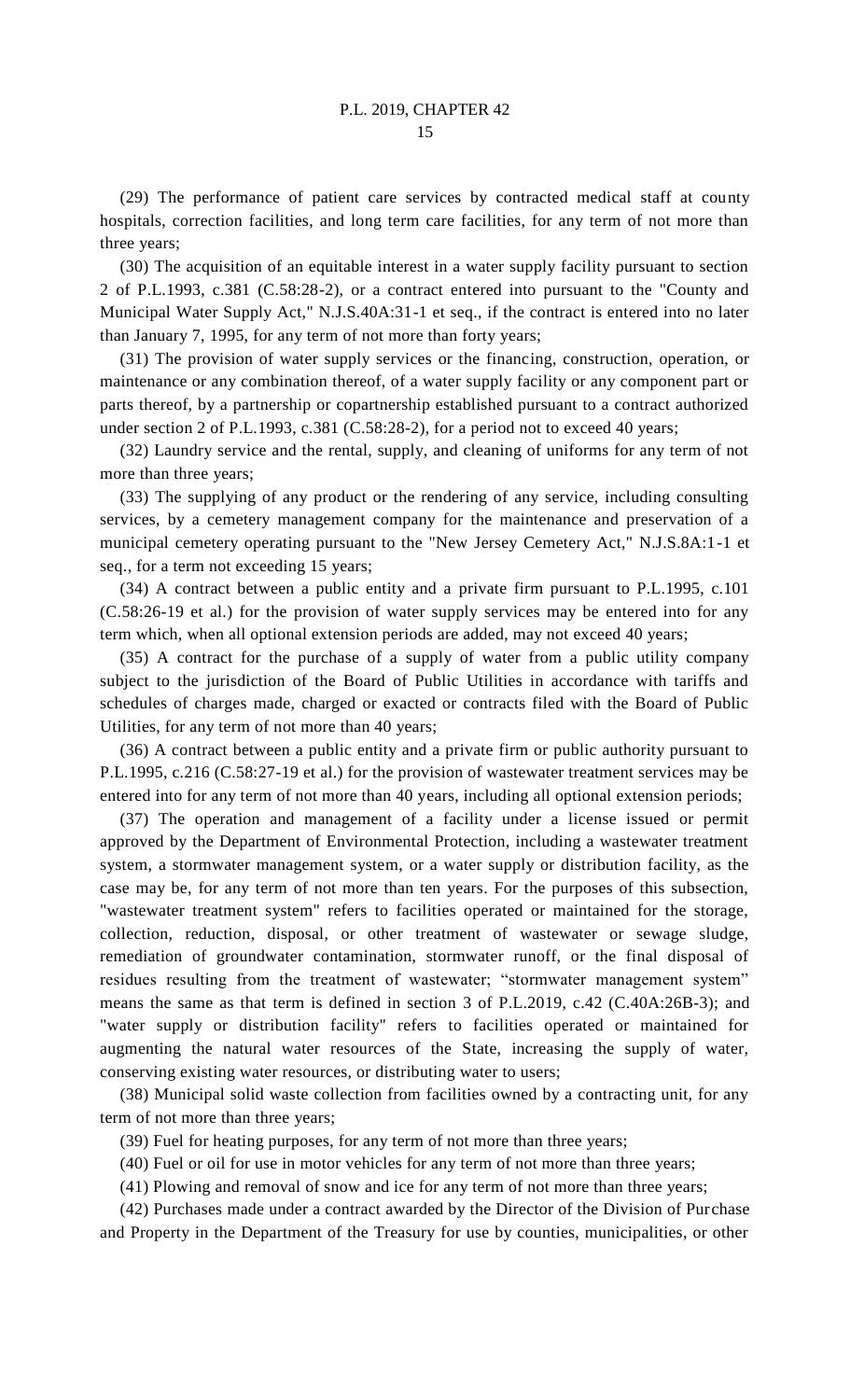(29) The performance of patient care services by contracted medical staff at county hospitals, correction facilities, and long term care facilities, for any term of not more than three years;

(30) The acquisition of an equitable interest in a water supply facility pursuant to section 2 of P.L.1993, c.381 (C.58:28-2), or a contract entered into pursuant to the "County and Municipal Water Supply Act," N.J.S.40A:31-1 et seq., if the contract is entered into no later than January 7, 1995, for any term of not more than forty years;

(31) The provision of water supply services or the financing, construction, operation, or maintenance or any combination thereof, of a water supply facility or any component part or parts thereof, by a partnership or copartnership established pursuant to a contract authorized under section 2 of P.L.1993, c.381 (C.58:28-2), for a period not to exceed 40 years;

(32) Laundry service and the rental, supply, and cleaning of uniforms for any term of not more than three years;

(33) The supplying of any product or the rendering of any service, including consulting services, by a cemetery management company for the maintenance and preservation of a municipal cemetery operating pursuant to the "New Jersey Cemetery Act," N.J.S.8A:1-1 et seq., for a term not exceeding 15 years;

(34) A contract between a public entity and a private firm pursuant to P.L.1995, c.101 (C.58:26-19 et al.) for the provision of water supply services may be entered into for any term which, when all optional extension periods are added, may not exceed 40 years;

(35) A contract for the purchase of a supply of water from a public utility company subject to the jurisdiction of the Board of Public Utilities in accordance with tariffs and schedules of charges made, charged or exacted or contracts filed with the Board of Public Utilities, for any term of not more than 40 years;

(36) A contract between a public entity and a private firm or public authority pursuant to P.L.1995, c.216 (C.58:27-19 et al.) for the provision of wastewater treatment services may be entered into for any term of not more than 40 years, including all optional extension periods;

(37) The operation and management of a facility under a license issued or permit approved by the Department of Environmental Protection, including a wastewater treatment system, a stormwater management system, or a water supply or distribution facility, as the case may be, for any term of not more than ten years. For the purposes of this subsection, "wastewater treatment system" refers to facilities operated or maintained for the storage, collection, reduction, disposal, or other treatment of wastewater or sewage sludge, remediation of groundwater contamination, stormwater runoff, or the final disposal of residues resulting from the treatment of wastewater; "stormwater management system" means the same as that term is defined in section 3 of P.L.2019, c.42 (C.40A:26B-3); and "water supply or distribution facility" refers to facilities operated or maintained for augmenting the natural water resources of the State, increasing the supply of water, conserving existing water resources, or distributing water to users;

(38) Municipal solid waste collection from facilities owned by a contracting unit, for any term of not more than three years;

(39) Fuel for heating purposes, for any term of not more than three years;

(40) Fuel or oil for use in motor vehicles for any term of not more than three years;

(41) Plowing and removal of snow and ice for any term of not more than three years;

(42) Purchases made under a contract awarded by the Director of the Division of Purchase and Property in the Department of the Treasury for use by counties, municipalities, or other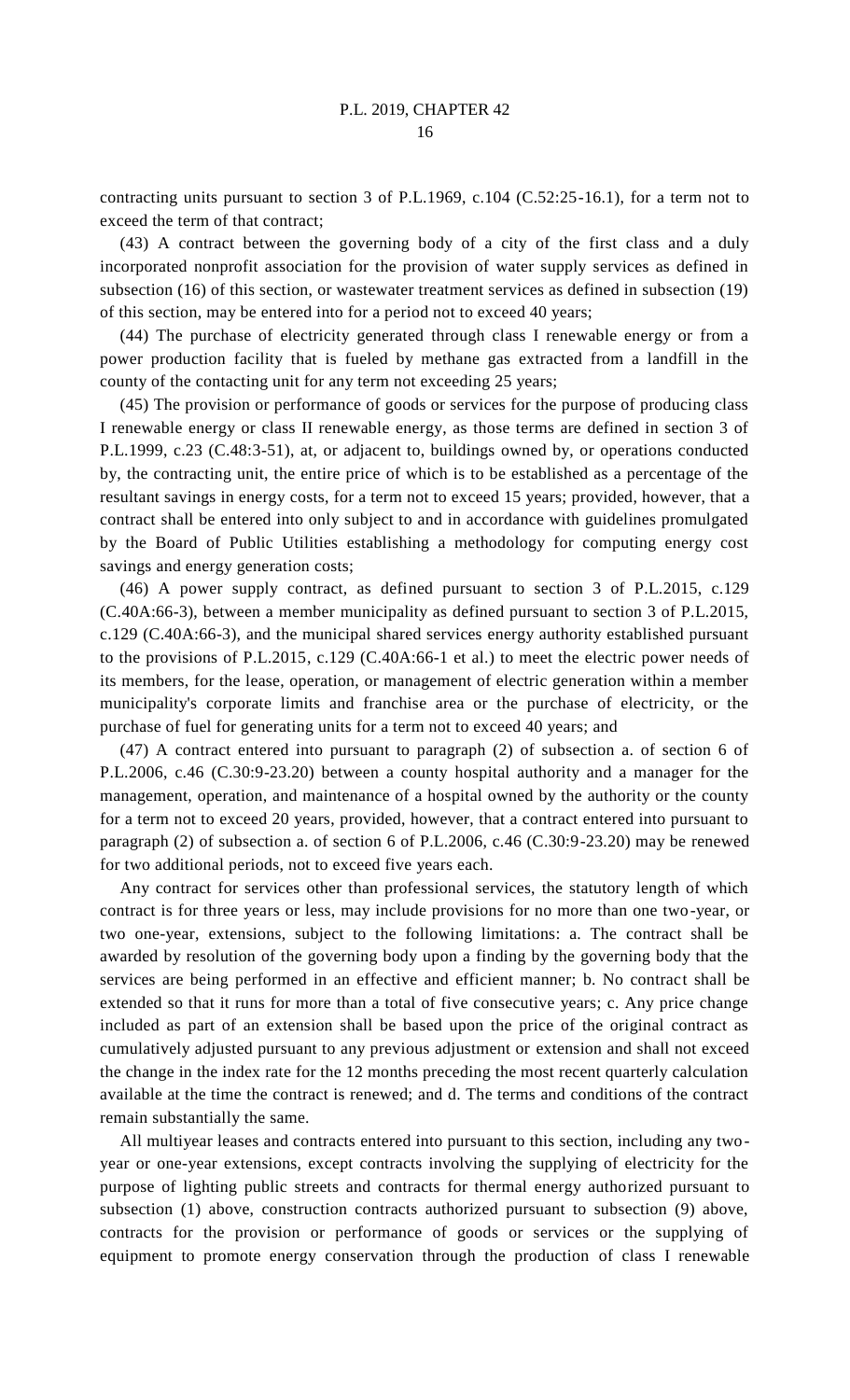contracting units pursuant to section 3 of P.L.1969, c.104 (C.52:25-16.1), for a term not to exceed the term of that contract;

(43) A contract between the governing body of a city of the first class and a duly incorporated nonprofit association for the provision of water supply services as defined in subsection (16) of this section, or wastewater treatment services as defined in subsection (19) of this section, may be entered into for a period not to exceed 40 years;

(44) The purchase of electricity generated through class I renewable energy or from a power production facility that is fueled by methane gas extracted from a landfill in the county of the contacting unit for any term not exceeding 25 years;

(45) The provision or performance of goods or services for the purpose of producing class I renewable energy or class II renewable energy, as those terms are defined in section 3 of P.L.1999, c.23 (C.48:3-51), at, or adjacent to, buildings owned by, or operations conducted by, the contracting unit, the entire price of which is to be established as a percentage of the resultant savings in energy costs, for a term not to exceed 15 years; provided, however, that a contract shall be entered into only subject to and in accordance with guidelines promulgated by the Board of Public Utilities establishing a methodology for computing energy cost savings and energy generation costs;

(46) A power supply contract, as defined pursuant to section 3 of P.L.2015, c.129 (C.40A:66-3), between a member municipality as defined pursuant to section 3 of P.L.2015, c.129 (C.40A:66-3), and the municipal shared services energy authority established pursuant to the provisions of P.L.2015, c.129 (C.40A:66-1 et al.) to meet the electric power needs of its members, for the lease, operation, or management of electric generation within a member municipality's corporate limits and franchise area or the purchase of electricity, or the purchase of fuel for generating units for a term not to exceed 40 years; and

(47) A contract entered into pursuant to paragraph (2) of subsection a. of section 6 of P.L.2006, c.46 (C.30:9-23.20) between a county hospital authority and a manager for the management, operation, and maintenance of a hospital owned by the authority or the county for a term not to exceed 20 years, provided, however, that a contract entered into pursuant to paragraph (2) of subsection a. of section 6 of P.L.2006, c.46 (C.30:9-23.20) may be renewed for two additional periods, not to exceed five years each.

Any contract for services other than professional services, the statutory length of which contract is for three years or less, may include provisions for no more than one two-year, or two one-year, extensions, subject to the following limitations: a. The contract shall be awarded by resolution of the governing body upon a finding by the governing body that the services are being performed in an effective and efficient manner; b. No contract shall be extended so that it runs for more than a total of five consecutive years; c. Any price change included as part of an extension shall be based upon the price of the original contract as cumulatively adjusted pursuant to any previous adjustment or extension and shall not exceed the change in the index rate for the 12 months preceding the most recent quarterly calculation available at the time the contract is renewed; and d. The terms and conditions of the contract remain substantially the same.

All multiyear leases and contracts entered into pursuant to this section, including any twoyear or one-year extensions, except contracts involving the supplying of electricity for the purpose of lighting public streets and contracts for thermal energy authorized pursuant to subsection (1) above, construction contracts authorized pursuant to subsection (9) above, contracts for the provision or performance of goods or services or the supplying of equipment to promote energy conservation through the production of class I renewable